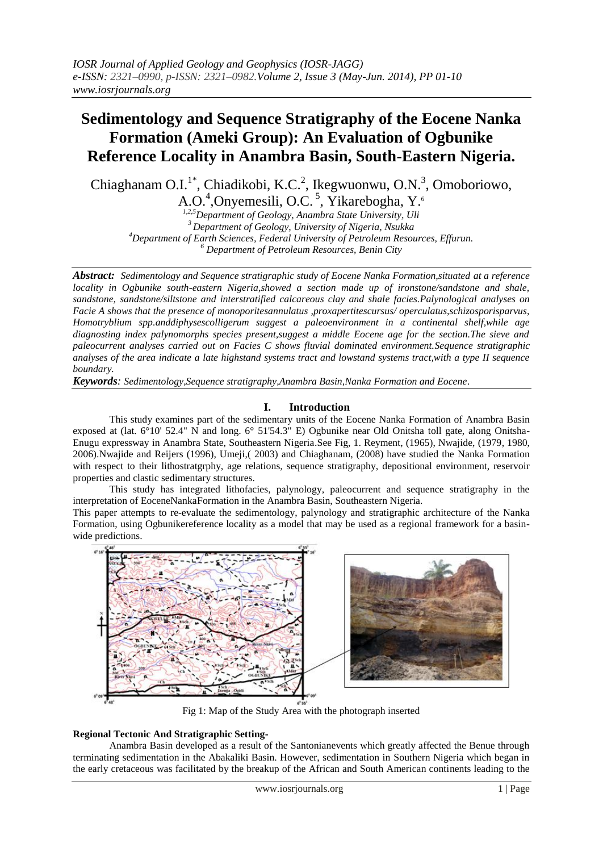# **Sedimentology and Sequence Stratigraphy of the Eocene Nanka Formation (Ameki Group): An Evaluation of Ogbunike Reference Locality in Anambra Basin, South-Eastern Nigeria.**

Chiaghanam O.I.<sup>1\*</sup>, Chiadikobi, K.C.<sup>2</sup>, Ikegwuonwu, O.N.<sup>3</sup>, Omoboriowo, A.O.<sup>4</sup>, Onyemesili, O.C.<sup>5</sup>, Yikarebogha, Y.<sup>6</sup>

*1,2,5Department of Geology, Anambra State University, Uli Department of Geology, University of Nigeria, Nsukka Department of Earth Sciences, Federal University of Petroleum Resources, Effurun. Department of Petroleum Resources, Benin City*

*Abstract: Sedimentology and Sequence stratigraphic study of Eocene Nanka Formation,situated at a reference locality in Ogbunike south-eastern Nigeria,showed a section made up of ironstone/sandstone and shale, sandstone, sandstone/siltstone and interstratified calcareous clay and shale facies.Palynological analyses on Facie A shows that the presence of monoporitesannulatus ,proxapertitescursus/ operculatus,schizosporisparvus, Homotryblium spp.anddiphysescolligerum suggest a paleoenvironment in a continental shelf,while age diagnosting index palynomorphs species present,suggest a middle Eocene age for the section.The sieve and paleocurrent analyses carried out on Facies C shows fluvial dominated environment.Sequence stratigraphic analyses of the area indicate a late highstand systems tract and lowstand systems tract,with a type II sequence boundary.*

*Keywords: Sedimentology,Sequence stratigraphy,Anambra Basin,Nanka Formation and Eocene.*

## **I. Introduction**

This study examines part of the sedimentary units of the Eocene Nanka Formation of Anambra Basin exposed at (lat. 6°10' 52.4" N and long. 6° 51'54.3" E) Ogbunike near Old Onitsha toll gate, along Onitsha-Enugu expressway in Anambra State, Southeastern Nigeria.See Fig, 1. Reyment, (1965), Nwajide, (1979, 1980, 2006).Nwajide and Reijers (1996), Umeji,( 2003) and Chiaghanam, (2008) have studied the Nanka Formation with respect to their lithostratgrphy, age relations, sequence stratigraphy, depositional environment, reservoir properties and clastic sedimentary structures.

This study has integrated lithofacies, palynology, paleocurrent and sequence stratigraphy in the interpretation of EoceneNankaFormation in the Anambra Basin, Southeastern Nigeria.

This paper attempts to re-evaluate the sedimentology, palynology and stratigraphic architecture of the Nanka Formation, using Ogbunikereference locality as a model that may be used as a regional framework for a basinwide predictions.



Fig 1: Map of the Study Area with the photograph inserted

## **Regional Tectonic And Stratigraphic Setting-**

Anambra Basin developed as a result of the Santonianevents which greatly affected the Benue through terminating sedimentation in the Abakaliki Basin. However, sedimentation in Southern Nigeria which began in the early cretaceous was facilitated by the breakup of the African and South American continents leading to the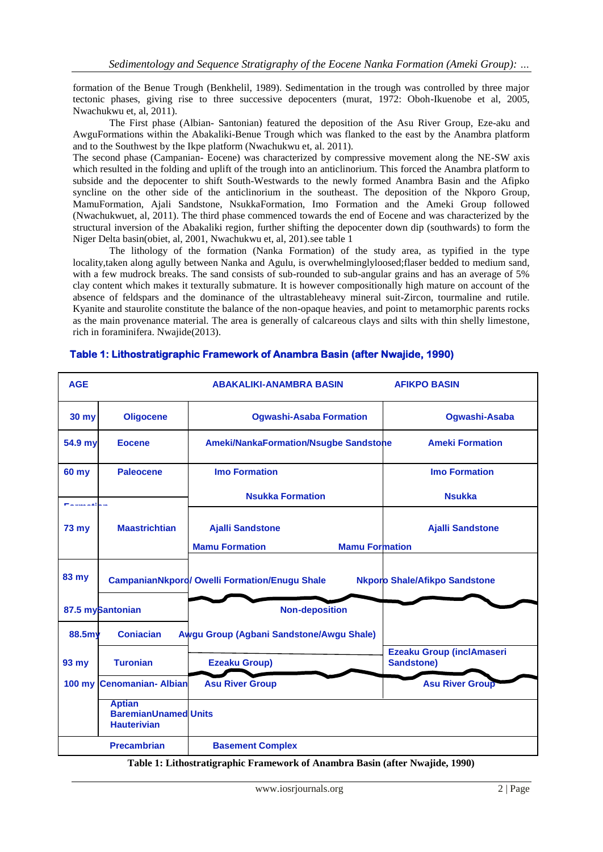formation of the Benue Trough (Benkhelil, 1989). Sedimentation in the trough was controlled by three major tectonic phases, giving rise to three successive depocenters (murat, 1972: Oboh-Ikuenobe et al, 2005, Nwachukwu et, al, 2011).

The First phase (Albian- Santonian) featured the deposition of the Asu River Group, Eze-aku and AwguFormations within the Abakaliki-Benue Trough which was flanked to the east by the Anambra platform and to the Southwest by the Ikpe platform (Nwachukwu et, al. 2011).

The second phase (Campanian- Eocene) was characterized by compressive movement along the NE-SW axis which resulted in the folding and uplift of the trough into an anticlinorium. This forced the Anambra platform to subside and the depocenter to shift South-Westwards to the newly formed Anambra Basin and the Afipko syncline on the other side of the anticlinorium in the southeast. The deposition of the Nkporo Group, MamuFormation, Ajali Sandstone, NsukkaFormation, Imo Formation and the Ameki Group followed (Nwachukwuet, al, 2011). The third phase commenced towards the end of Eocene and was characterized by the structural inversion of the Abakaliki region, further shifting the depocenter down dip (southwards) to form the Niger Delta basin(obiet, al, 2001, Nwachukwu et, al, 201).see table 1

The lithology of the formation (Nanka Formation) of the study area, as typified in the type locality,taken along agully between Nanka and Agulu, is overwhelminglyloosed;flaser bedded to medium sand, with a few mudrock breaks. The sand consists of sub-rounded to sub-angular grains and has an average of 5% clay content which makes it texturally submature. It is however compositionally high mature on account of the absence of feldspars and the dominance of the ultrastableheavy mineral suit-Zircon, tourmaline and rutile. Kyanite and staurolite constitute the balance of the non-opaque heavies, and point to metamorphic parents rocks as the main provenance material. The area is generally of calcareous clays and silts with thin shelly limestone, rich in foraminifera. Nwajide(2013).

| <b>AGE</b>            |                                                                    | <b>ABAKALIKI-ANAMBRA BASIN</b>                                            | <b>AFIKPO BASIN</b>                                   |
|-----------------------|--------------------------------------------------------------------|---------------------------------------------------------------------------|-------------------------------------------------------|
| <b>30 my</b>          | <b>Oligocene</b>                                                   | <b>Ogwashi-Asaba Formation</b>                                            | Ogwashi-Asaba                                         |
| 54.9 my               | <b>Eocene</b>                                                      | <b>Ameki/NankaFormation/Nsugbe Sandstone</b>                              | <b>Ameki Formation</b>                                |
| 60 my                 | <b>Paleocene</b>                                                   | <b>Imo Formation</b>                                                      | <b>Imo Formation</b>                                  |
| للمراسا فالقريم للممر |                                                                    | <b>Nsukka Formation</b>                                                   | <b>Nsukka</b>                                         |
| <b>73 my</b>          | <b>Maastrichtian</b>                                               | <b>Ajalli Sandstone</b><br><b>Mamu Formation</b><br><b>Mamu Formation</b> | <b>Ajalli Sandstone</b>                               |
| 83 my                 |                                                                    | <b>CampanianNkporo/ Owelli Formation/Enugu Shale</b>                      | <b>Nkporo Shale/Afikpo Sandstone</b>                  |
|                       | 87.5 mySantonian                                                   | <b>Non-deposition</b>                                                     |                                                       |
| 88.5my                | <b>Conjacian</b>                                                   | Awgu Group (Agbani Sandstone/Awgu Shale)                                  |                                                       |
| 93 my                 | <b>Turonian</b>                                                    | <b>Ezeaku Group)</b>                                                      | <b>Ezeaku Group (inclAmaseri</b><br><b>Sandstone)</b> |
|                       | 100 my Cenomanian- Albian                                          | <b>Asu River Group</b>                                                    | <b>Asu River Group</b>                                |
|                       | <b>Aptian</b><br><b>BaremianUnamed Units</b><br><b>Hauterivian</b> |                                                                           |                                                       |
|                       | <b>Precambrian</b>                                                 | <b>Basement Complex</b>                                                   |                                                       |

## **Table 1: Lithostratigraphic Framework of Anambra Basin (after Nwajide, 1990)**

**Table 1: Lithostratigraphic Framework of Anambra Basin (after Nwajide, 1990)**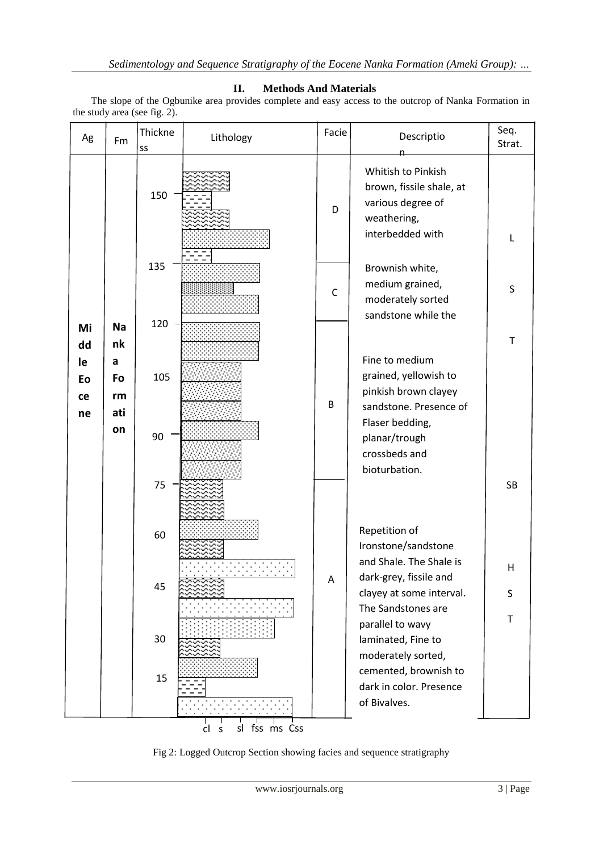## **II. Methods And Materials**

The slope of the Ogbunike area provides complete and easy access to the outcrop of Nanka Formation in the study area (see fig. 2).

| Ag                   | Fm                   | Thickne<br>SS | Lithology                      | Facie       | Descriptio                                                                                             | Seq.<br>Strat. |
|----------------------|----------------------|---------------|--------------------------------|-------------|--------------------------------------------------------------------------------------------------------|----------------|
|                      |                      | 150           |                                | D           | Whitish to Pinkish<br>brown, fissile shale, at<br>various degree of<br>weathering,<br>interbedded with | L              |
|                      |                      | 135           |                                | $\mathsf C$ | Brownish white,<br>medium grained,<br>moderately sorted<br>sandstone while the                         | S              |
| Mi<br>dd             | <b>Na</b><br>nk      | 120           |                                |             |                                                                                                        | T              |
| le<br>Eo<br>ce<br>ne | a<br>Fo<br>rm<br>ati | 105           |                                | B           | Fine to medium<br>grained, yellowish to<br>pinkish brown clayey<br>sandstone. Presence of              |                |
|                      | on                   | 90            |                                |             | Flaser bedding,<br>planar/trough<br>crossbeds and<br>bioturbation.                                     |                |
|                      |                      | 75            |                                |             |                                                                                                        | <b>SB</b>      |
|                      |                      | 60            |                                |             | Repetition of<br>Ironstone/sandstone<br>and Shale. The Shale is                                        |                |
|                      |                      | 45            |                                | A           | dark-grey, fissile and<br>clayey at some interval.<br>The Sandstones are                               | н<br>S         |
|                      |                      | 30            |                                |             | parallel to wavy<br>laminated, Fine to<br>moderately sorted,                                           | $\mathsf{T}$   |
|                      |                      | 15            |                                |             | cemented, brownish to<br>dark in color. Presence<br>of Bivalves.                                       |                |
|                      |                      |               | ms Css<br>sl<br>fss<br>cl<br>S |             |                                                                                                        |                |

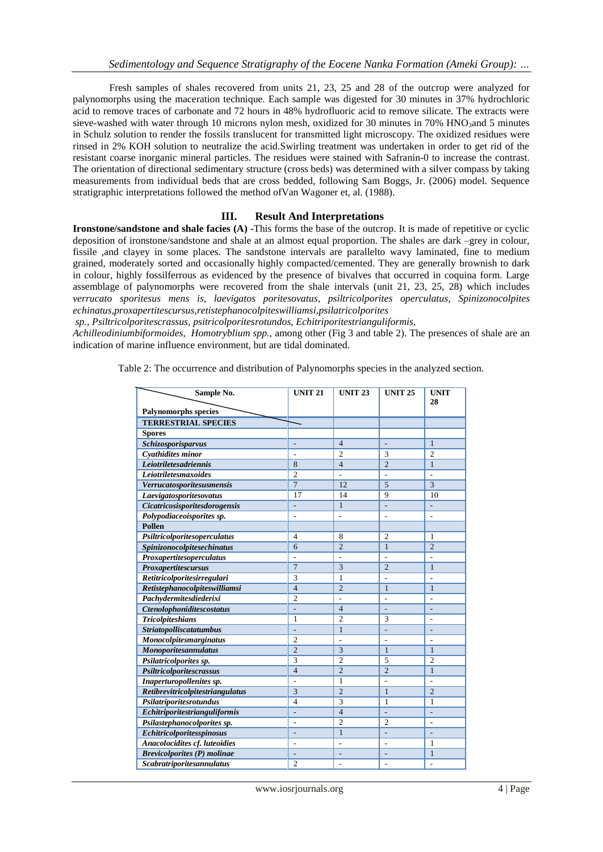Fresh samples of shales recovered from units 21, 23, 25 and 28 of the outcrop were analyzed for palynomorphs using the maceration technique. Each sample was digested for 30 minutes in 37% hydrochloric acid to remove traces of carbonate and 72 hours in 48% hydrofluoric acid to remove silicate. The extracts were sieve-washed with water through 10 microns nylon mesh, oxidized for 30 minutes in 70% HNO3and 5 minutes in Schulz solution to render the fossils translucent for transmitted light microscopy. The oxidized residues were rinsed in 2% KOH solution to neutralize the acid.Swirling treatment was undertaken in order to get rid of the resistant coarse inorganic mineral particles. The residues were stained with Safranin-0 to increase the contrast. The orientation of directional sedimentary structure (cross beds) was determined with a silver compass by taking measurements from individual beds that are cross bedded, following Sam Boggs, Jr. (2006) model. Sequence stratigraphic interpretations followed the method ofVan Wagoner et, al. (1988).

#### **III. Result And Interpretations**

**Ironstone/sandstone and shale facies (A) -**This forms the base of the outcrop. It is made of repetitive or cyclic deposition of ironstone/sandstone and shale at an almost equal proportion. The shales are dark –grey in colour, fissile ,and clayey in some places. The sandstone intervals are parallelto wavy laminated, fine to medium grained, moderately sorted and occasionally highly compacted/cemented. They are generally brownish to dark in colour, highly fossilferrous as evidenced by the presence of bivalves that occurred in coquina form. Large assemblage of palynomorphs were recovered from the shale intervals (unit 21, 23, 25, 28) which includes *verrucato sporitesus mens is, laevigatos poritesovatus, psiltricolporites operculatus, Spinizonocolpites echinatus,proxapertitescursus,retistephanocolpiteswilliamsi,psilatricolporites*

*sp., Psiltricolporitescrassus, psitricolporitesrotundos, Echitriporitestrianguliformis,* 

*Achilleodiniumbiformoides, Homotryblium spp.,* among other (Fig 3 and table 2). The presences of shale are an indication of marine influence environment, but are tidal dominated.

Table 2: The occurrence and distribution of Palynomorphs species in the analyzed section.

| Sample No.                         | <b>UNIT 21</b>           | <b>UNIT 23</b> | <b>UNIT 25</b> | <b>UNIT</b>    |
|------------------------------------|--------------------------|----------------|----------------|----------------|
|                                    |                          |                |                | 28             |
| <b>Palynomorphs species</b>        |                          |                |                |                |
| <b>TERRESTRIAL SPECIES</b>         |                          |                |                |                |
| <b>Spores</b>                      |                          | $\overline{4}$ |                | $\mathbf{1}$   |
| Schizosporisparvus                 | $\overline{a}$           | $\overline{c}$ | ÷,<br>3        | $\overline{c}$ |
| Cyathidites minor                  | $\overline{a}$           |                | $\overline{c}$ |                |
| Leiotriletesadriennis              | 8                        | $\overline{4}$ |                | $\mathbf{1}$   |
| Leiotriletesmaxoides               | $\overline{2}$           | L,             | L.             | L.             |
| Verrucatosporitesusmensis          | $\overline{7}$           | 12             | 5              | 3              |
| Laevigatosporitesovatus            | 17                       | 14             | 9              | 10             |
| Cicatricosisporitesdorogensis      | $\frac{1}{2}$            | $\mathbf{1}$   | $\overline{a}$ | $\overline{a}$ |
| Polypodiaceoisporites sp.          | L.                       | $\overline{a}$ | ÷.             | ÷.             |
| <b>Pollen</b>                      |                          |                |                |                |
| Psiltricolporitesoperculatus       | $\overline{4}$           | 8              | $\overline{c}$ | $\mathbf{1}$   |
| Spinizonocolpitesechinatus         | 6                        | $\overline{2}$ | $\mathbf{1}$   | $\overline{2}$ |
| Proxapertitesoperculatus           | L.                       | L,             | L.             | L.             |
| Proxapertitescursus                | $\overline{7}$           | 3              | $\overline{c}$ | $\mathbf{1}$   |
| Retitricolporitesirregulari        | $\overline{3}$           | $\mathbf{1}$   | $\overline{a}$ | L,             |
| Retistephanocolpiteswilliamsi      | $\overline{4}$           | $\overline{c}$ | $\mathbf{1}$   | $\mathbf{1}$   |
| Pachydermitesdiederixi             | $\overline{2}$           | L,             | L.             | L.             |
| <b>Ctenolophoniditescostatus</b>   | L.                       | $\overline{4}$ | ÷.             | ÷.             |
| <b>Tricolpiteshians</b>            | $\mathbf{1}$             | $\overline{c}$ | 3              | ÷              |
| Striatopolliscatatumbus            | L.                       | $\mathbf{1}$   | L.             | L,             |
| Monocolpitesmarginatus             | $\overline{2}$           | L,             | L,             | ÷,             |
| <b>Monoporitesannulatus</b>        | $\overline{2}$           | 3              | $\mathbf{1}$   | $\mathbf{1}$   |
| Psilatricolporites sp.             | 3                        | $\overline{c}$ | 5              | $\overline{c}$ |
| Psiltricolporitescrassus           | $\overline{4}$           | $\overline{c}$ | $\overline{2}$ | $\mathbf{1}$   |
| Inaperturopollenites sp.           | L.                       | $\mathbf{1}$   | L.             | L.             |
| Retibrevitricolpitestriangulatus   | $\overline{3}$           | $\overline{c}$ | $\mathbf{1}$   | $\overline{c}$ |
| Psilatriporitesrotundus            | $\overline{4}$           | 3              | $\mathbf{1}$   | $\mathbf{1}$   |
| Echitriporitestrianguliformis      | $\overline{a}$           | $\overline{4}$ | L.             | ÷.             |
| Psilastephanocolporites sp.        | L.                       | $\overline{c}$ | $\overline{2}$ | ÷              |
| Echitricolporitesspinosus          | L,                       | $\mathbf{1}$   | L.             | L,             |
| Anacolocidites cf. luteoidies      | $\overline{a}$           | L              | ÷              | $\mathbf{1}$   |
| <b>Brevicolporites (P)</b> molinae | $\overline{\phantom{a}}$ | ÷,             | ÷,             | $\mathbf{1}$   |
| Scabratriporitesannulatus          | $\overline{2}$           | Ĭ.             | L.             | L.             |
|                                    |                          |                |                |                |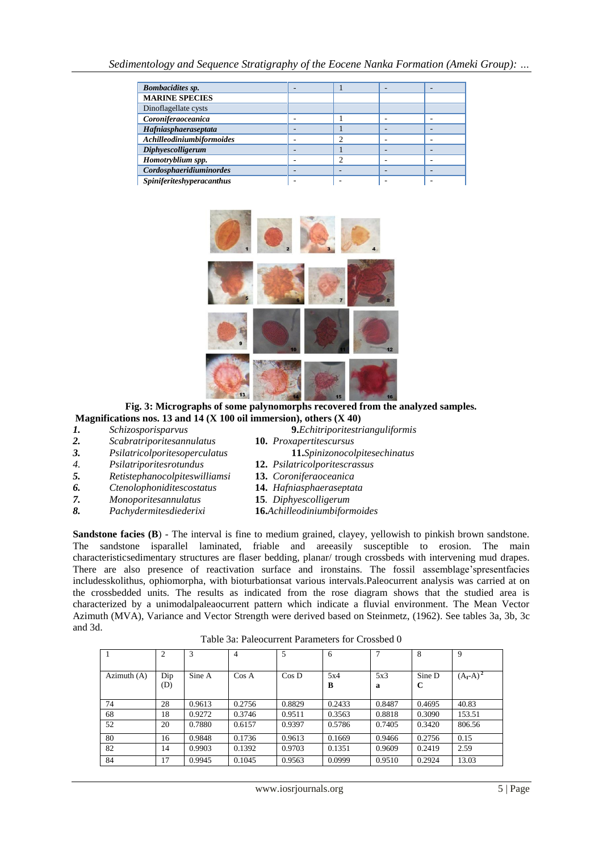| <b>Bombacidites sp.</b>   |   |   | - |
|---------------------------|---|---|---|
| <b>MARINE SPECIES</b>     |   |   |   |
| Dinoflagellate cysts      |   |   |   |
| Coroniferaoceanica        |   |   |   |
| Hafniasphaeraseptata      |   |   | ۰ |
| Achilleodiniumbiformoides |   | ◠ |   |
| Diphyescolligerum         |   |   |   |
| Homotryblium spp.         |   | ◠ |   |
| Cordosphaeridiuminordes   | - |   | ۰ |
| Spiniferiteshyperacanthus |   |   |   |



## **Fig. 3: Micrographs of some palynomorphs recovered from the analyzed samples. Magnifications nos. 13 and 14 (X 100 oil immersion), others (X 40)**<br>*I.* Schizosporisparvus **9.** Echitriporitestr

- 
- *2. Scabratriporitesannulatus* **10.** *Proxapertitescursus*
- *3. Psilatricolporitesoperculatus* **11.***Spinizonocolpitesechinatus*
- *4. Psilatriporitesrotundus* **12.** *Psilatricolporitescrassus*
- *5. Retistephanocolpiteswilliamsi* **13.** *Coroniferaoceanica*
- *6. Ctenolophoniditescostatus* **14.** *Hafniasphaeraseptata*
- *7. Monoporitesannulatus* **15***. Diphyescolligerum*
- *8. Pachydermitesdiederixi* **16.***Achilleodiniumbiformoides*
- *1. Schizosporisparvus* **9.***Echitriporitestrianguliformis*
	-
	-
	-
	-
	-
	-

**Sandstone facies (B**) - The interval is fine to medium grained, clayey, yellowish to pinkish brown sandstone. The sandstone isparallel laminated, friable and areeasily susceptible to erosion. The main characteristicsedimentary structures are flaser bedding, planar/ trough crossbeds with intervening mud drapes. There are also presence of reactivation surface and ironstains. The fossil assemblage'spresentfacies includesskolithus, ophiomorpha, with bioturbationsat various intervals.Paleocurrent analysis was carried at on the crossbedded units. The results as indicated from the rose diagram shows that the studied area is characterized by a unimodalpaleaocurrent pattern which indicate a fluvial environment. The Mean Vector Azimuth (MVA), Variance and Vector Strength were derived based on Steinmetz, (1962). See tables 3a, 3b, 3c and 3d.

|               | 2          | 3      | $\overline{4}$ | 5        | 6        | $\mathcal{L}$ | 8           | 9           |
|---------------|------------|--------|----------------|----------|----------|---------------|-------------|-------------|
| Azimuth $(A)$ | Dip<br>(D) | Sine A | $\cos A$       | $\cos D$ | 5x4<br>B | 5x3<br>a      | Sine D<br>C | $(A_I-A)^2$ |
| 74            | 28         | 0.9613 | 0.2756         | 0.8829   | 0.2433   | 0.8487        | 0.4695      | 40.83       |
| 68            | 18         | 0.9272 | 0.3746         | 0.9511   | 0.3563   | 0.8818        | 0.3090      | 153.51      |
| 52            | 20         | 0.7880 | 0.6157         | 0.9397   | 0.5786   | 0.7405        | 0.3420      | 806.56      |
| 80            | 16         | 0.9848 | 0.1736         | 0.9613   | 0.1669   | 0.9466        | 0.2756      | 0.15        |
| 82            | 14         | 0.9903 | 0.1392         | 0.9703   | 0.1351   | 0.9609        | 0.2419      | 2.59        |
| 84            | 17         | 0.9945 | 0.1045         | 0.9563   | 0.0999   | 0.9510        | 0.2924      | 13.03       |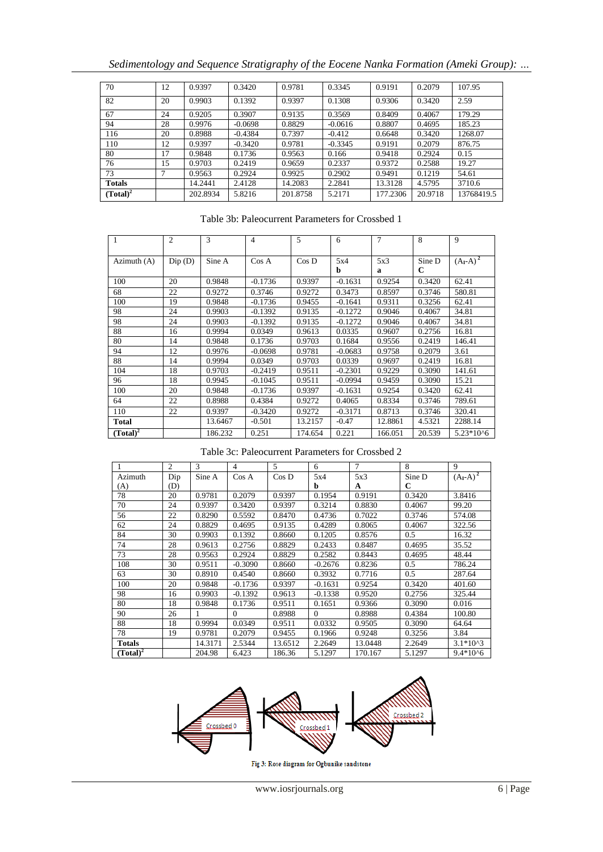|  | Sedimentology and Sequence Stratigraphy of the Eocene Nanka Formation (Ameki Group): |  |
|--|--------------------------------------------------------------------------------------|--|

| 70            | 12 | 0.9397   | 0.3420    | 0.9781   | 0.3345    | 0.9191   | 0.2079  | 107.95     |
|---------------|----|----------|-----------|----------|-----------|----------|---------|------------|
| 82            | 20 | 0.9903   | 0.1392    | 0.9397   | 0.1308    | 0.9306   | 0.3420  | 2.59       |
| 67            | 24 | 0.9205   | 0.3907    | 0.9135   | 0.3569    | 0.8409   | 0.4067  | 179.29     |
| 94            | 28 | 0.9976   | $-0.0698$ | 0.8829   | $-0.0616$ | 0.8807   | 0.4695  | 185.23     |
| 116           | 20 | 0.8988   | $-0.4384$ | 0.7397   | $-0.412$  | 0.6648   | 0.3420  | 1268.07    |
| 110           | 12 | 0.9397   | $-0.3420$ | 0.9781   | $-0.3345$ | 0.9191   | 0.2079  | 876.75     |
| 80            | 17 | 0.9848   | 0.1736    | 0.9563   | 0.166     | 0.9418   | 0.2924  | 0.15       |
| 76            | 15 | 0.9703   | 0.2419    | 0.9659   | 0.2337    | 0.9372   | 0.2588  | 19.27      |
| 73            |    | 0.9563   | 0.2924    | 0.9925   | 0.2902    | 0.9491   | 0.1219  | 54.61      |
| <b>Totals</b> |    | 14.2441  | 2.4128    | 14.2083  | 2.2841    | 13.3128  | 4.5795  | 3710.6     |
| $(Total)^2$   |    | 202.8934 | 5.8216    | 201.8758 | 5.2171    | 177.2306 | 20.9718 | 13768419.5 |

## Table 3b: Paleocurrent Parameters for Crossbed 1

| 1            | $\overline{2}$ | 3       | 4         | 5       | 6         | $\overline{7}$ | 8                     | 9                 |
|--------------|----------------|---------|-----------|---------|-----------|----------------|-----------------------|-------------------|
| Azimuth (A)  | Dip(D)         | Sine A  | Cos A     | Cos D   | 5x4<br>b  | 5x3<br>a       | Sine D<br>$\mathbf C$ | $(A_{I} - A)^{2}$ |
| 100          | 20             | 0.9848  | $-0.1736$ | 0.9397  | $-0.1631$ | 0.9254         | 0.3420                | 62.41             |
| 68           | 22             | 0.9272  | 0.3746    | 0.9272  | 0.3473    | 0.8597         | 0.3746                | 580.81            |
| 100          | 19             | 0.9848  | $-0.1736$ | 0.9455  | $-0.1641$ | 0.9311         | 0.3256                | 62.41             |
| 98           | 24             | 0.9903  | $-0.1392$ | 0.9135  | $-0.1272$ | 0.9046         | 0.4067                | 34.81             |
| 98           | 24             | 0.9903  | $-0.1392$ | 0.9135  | $-0.1272$ | 0.9046         | 0.4067                | 34.81             |
| 88           | 16             | 0.9994  | 0.0349    | 0.9613  | 0.0335    | 0.9607         | 0.2756                | 16.81             |
| 80           | 14             | 0.9848  | 0.1736    | 0.9703  | 0.1684    | 0.9556         | 0.2419                | 146.41            |
| 94           | 12             | 0.9976  | $-0.0698$ | 0.9781  | $-0.0683$ | 0.9758         | 0.2079                | 3.61              |
| 88           | 14             | 0.9994  | 0.0349    | 0.9703  | 0.0339    | 0.9697         | 0.2419                | 16.81             |
| 104          | 18             | 0.9703  | $-0.2419$ | 0.9511  | $-0.2301$ | 0.9229         | 0.3090                | 141.61            |
| 96           | 18             | 0.9945  | $-0.1045$ | 0.9511  | $-0.0994$ | 0.9459         | 0.3090                | 15.21             |
| 100          | 20             | 0.9848  | $-0.1736$ | 0.9397  | $-0.1631$ | 0.9254         | 0.3420                | 62.41             |
| 64           | 22             | 0.8988  | 0.4384    | 0.9272  | 0.4065    | 0.8334         | 0.3746                | 789.61            |
| 110          | 22             | 0.9397  | $-0.3420$ | 0.9272  | $-0.3171$ | 0.8713         | 0.3746                | 320.41            |
| <b>Total</b> |                | 13.6467 | $-0.501$  | 13.2157 | $-0.47$   | 12.8861        | 4.5321                | 2288.14           |
| $(Total)^2$  |                | 186.232 | 0.251     | 174.654 | 0.221     | 166.051        | 20.539                | 5.23*10^6         |

#### Table 3c: Paleocurrent Parameters for Crossbed 2

|             | 2   | 3       | 4         | 5        | 6         | $\overline{7}$ | 8      | 9             |
|-------------|-----|---------|-----------|----------|-----------|----------------|--------|---------------|
| Azimuth     | Dip | Sine A  | Cos A     | $\cos D$ | 5x4       | 5x3            | Sine D | $(A_I - A)^2$ |
| (A)         | (D) |         |           |          | b         | A              | C      |               |
| 78          | 20  | 0.9781  | 0.2079    | 0.9397   | 0.1954    | 0.9191         | 0.3420 | 3.8416        |
| 70          | 24  | 0.9397  | 0.3420    | 0.9397   | 0.3214    | 0.8830         | 0.4067 | 99.20         |
| 56          | 22  | 0.8290  | 0.5592    | 0.8470   | 0.4736    | 0.7022         | 0.3746 | 574.08        |
| 62          | 24  | 0.8829  | 0.4695    | 0.9135   | 0.4289    | 0.8065         | 0.4067 | 322.56        |
| 84          | 30  | 0.9903  | 0.1392    | 0.8660   | 0.1205    | 0.8576         | 0.5    | 16.32         |
| 74          | 28  | 0.9613  | 0.2756    | 0.8829   | 0.2433    | 0.8487         | 0.4695 | 35.52         |
| 73          | 28  | 0.9563  | 0.2924    | 0.8829   | 0.2582    | 0.8443         | 0.4695 | 48.44         |
| 108         | 30  | 0.9511  | $-0.3090$ | 0.8660   | $-0.2676$ | 0.8236         | 0.5    | 786.24        |
| 63          | 30  | 0.8910  | 0.4540    | 0.8660   | 0.3932    | 0.7716         | 0.5    | 287.64        |
| 100         | 20  | 0.9848  | $-0.1736$ | 0.9397   | $-0.1631$ | 0.9254         | 0.3420 | 401.60        |
| 98          | 16  | 0.9903  | $-0.1392$ | 0.9613   | $-0.1338$ | 0.9520         | 0.2756 | 325.44        |
| 80          | 18  | 0.9848  | 0.1736    | 0.9511   | 0.1651    | 0.9366         | 0.3090 | 0.016         |
| 90          | 26  |         | $\Omega$  | 0.8988   | $\Omega$  | 0.8988         | 0.4384 | 100.80        |
| 88          | 18  | 0.9994  | 0.0349    | 0.9511   | 0.0332    | 0.9505         | 0.3090 | 64.64         |
| 78          | 19  | 0.9781  | 0.2079    | 0.9455   | 0.1966    | 0.9248         | 0.3256 | 3.84          |
| Totals      |     | 14.3171 | 2.5344    | 13.6512  | 2.2649    | 13.0448        | 2.2649 | $3.1*10^{3}$  |
| $(Total)^2$ |     | 204.98  | 6.423     | 186.36   | 5.1297    | 170.167        | 5.1297 | $9.4*10^{6}$  |



Fig 3: Rose diagram for Ogbunike sandstone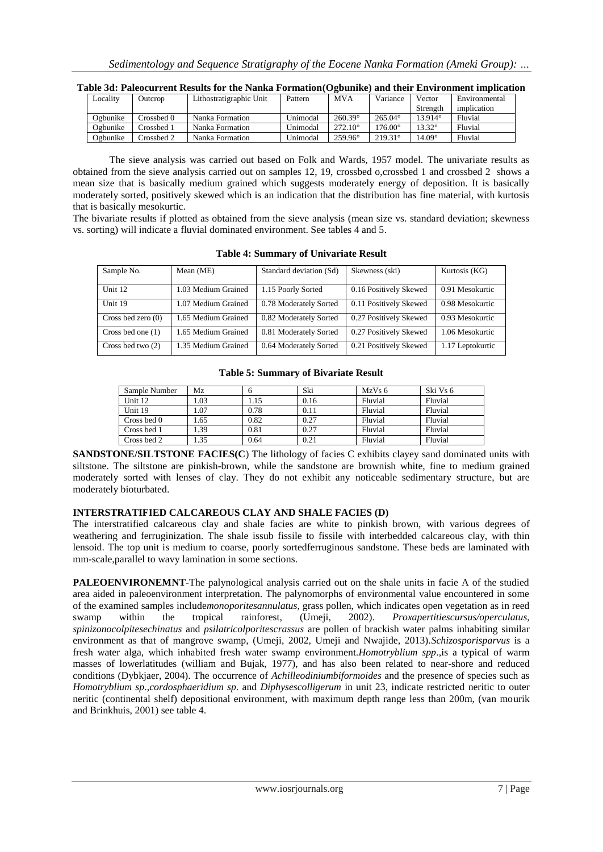| Locality | Outcrop    | Lithostratigraphic Unit | Pattern  | <b>MVA</b>       | Variance         | Vector           | Environmental |
|----------|------------|-------------------------|----------|------------------|------------------|------------------|---------------|
|          |            |                         |          |                  |                  | Strength         | implication   |
| Ogbunike | Crossbed 0 | Nanka Formation         | Unimodal | $260.39^{\circ}$ | $265.04^{\circ}$ | $13.914^{\circ}$ | Fluvial       |
| Ogbunike | Crossbed 1 | Nanka Formation         | Unimodal | $272.10^{\circ}$ | $176.00^{\circ}$ | $13.32^{\circ}$  | Fluvial       |
| Ogbunike | Prossbed 2 | Nanka Formation         | Unimodal | $259.96^{\circ}$ | $219.31^{\circ}$ | $14.09^\circ$    | Fluvial       |

**Table 3d: Paleocurrent Results for the Nanka Formation(Ogbunike) and their Environment implication**

The sieve analysis was carried out based on Folk and Wards, 1957 model. The univariate results as obtained from the sieve analysis carried out on samples 12, 19, crossbed o,crossbed 1 and crossbed 2 shows a mean size that is basically medium grained which suggests moderately energy of deposition. It is basically moderately sorted, positively skewed which is an indication that the distribution has fine material, with kurtosis that is basically mesokurtic.

The bivariate results if plotted as obtained from the sieve analysis (mean size vs. standard deviation; skewness vs. sorting) will indicate a fluvial dominated environment. See tables 4 and 5.

| Sample No.           | Mean (ME)           | Standard deviation (Sd) | Skewness (ski)         | Kurtosis (KG)    |
|----------------------|---------------------|-------------------------|------------------------|------------------|
|                      |                     |                         |                        |                  |
|                      |                     |                         |                        |                  |
| Unit 12              | 1.03 Medium Grained | 1.15 Poorly Sorted      | 0.16 Positively Skewed | 0.91 Mesokurtic  |
|                      |                     |                         |                        |                  |
| Unit 19              | 1.07 Medium Grained | 0.78 Moderately Sorted  | 0.11 Positively Skewed | 0.98 Mesokurtic  |
|                      |                     |                         |                        |                  |
| Cross bed zero $(0)$ | 1.65 Medium Grained | 0.82 Moderately Sorted  | 0.27 Positively Skewed | 0.93 Mesokurtic  |
| Cross bed one $(1)$  | 1.65 Medium Grained | 0.81 Moderately Sorted  | 0.27 Positively Skewed | 1.06 Mesokurtic  |
|                      |                     |                         |                        |                  |
| Cross bed two $(2)$  | 1.35 Medium Grained | 0.64 Moderately Sorted  | 0.21 Positively Skewed | 1.17 Leptokurtic |
|                      |                     |                         |                        |                  |

**Table 4: Summary of Univariate Result**

**Table 5: Summary of Bivariate Result**

| Sample Number | Mz   |      | Ski  | MzVs <sub>6</sub> | Ski Vs 6 |
|---------------|------|------|------|-------------------|----------|
| Unit 12       | 1.03 | 1.15 | 0.16 | Fluvial           | Fluvial  |
| Unit 19       | 1.07 | 0.78 | 0.11 | Fluvial           | Fluvial  |
| Cross bed 0   | 1.65 | 0.82 | 0.27 | Fluvial           | Fluvial  |
| Cross bed 1   | .39  | 0.81 | 0.27 | Fluvial           | Fluvial  |
| Cross bed 2   | 1.35 | 0.64 | 0.21 | Fluvial           | Fluvial  |

**SANDSTONE/SILTSTONE FACIES(C)** The lithology of facies C exhibits clayey sand dominated units with siltstone. The siltstone are pinkish-brown, while the sandstone are brownish white, fine to medium grained moderately sorted with lenses of clay. They do not exhibit any noticeable sedimentary structure, but are moderately bioturbated.

## **INTERSTRATIFIED CALCAREOUS CLAY AND SHALE FACIES (D)**

The interstratified calcareous clay and shale facies are white to pinkish brown, with various degrees of weathering and ferruginization. The shale issub fissile to fissile with interbedded calcareous clay, with thin lensoid. The top unit is medium to coarse, poorly sortedferruginous sandstone. These beds are laminated with mm-scale,parallel to wavy lamination in some sections.

**PALEOENVIRONEMNT**-The palynological analysis carried out on the shale units in facie A of the studied area aided in paleoenvironment interpretation. The palynomorphs of environmental value encountered in some of the examined samples include*monoporitesannulatus*, grass pollen, which indicates open vegetation as in reed swamp within the tropical rainforest, (Umeji, 2002). *Proxapertitiescursus/operculatus, spinizonocolpitesechinatus* and *psilatricolporitescrassus* are pollen of brackish water palms inhabiting similar environment as that of mangrove swamp, (Umeji, 2002, Umeji and Nwajide, 2013).*Schizosporisparvus* is a fresh water alga, which inhabited fresh water swamp environment.*Homotryblium spp*.,is a typical of warm masses of lowerlatitudes (william and Bujak, 1977), and has also been related to near-shore and reduced conditions (Dybkjaer, 2004). The occurrence of *Achilleodiniumbiformoides* and the presence of species such as *Homotryblium sp*.,*cordosphaeridium sp*. and *Diphysescolligerum* in unit 23, indicate restricted neritic to outer neritic (continental shelf) depositional environment, with maximum depth range less than 200m, (van mourik and Brinkhuis, 2001) see table 4.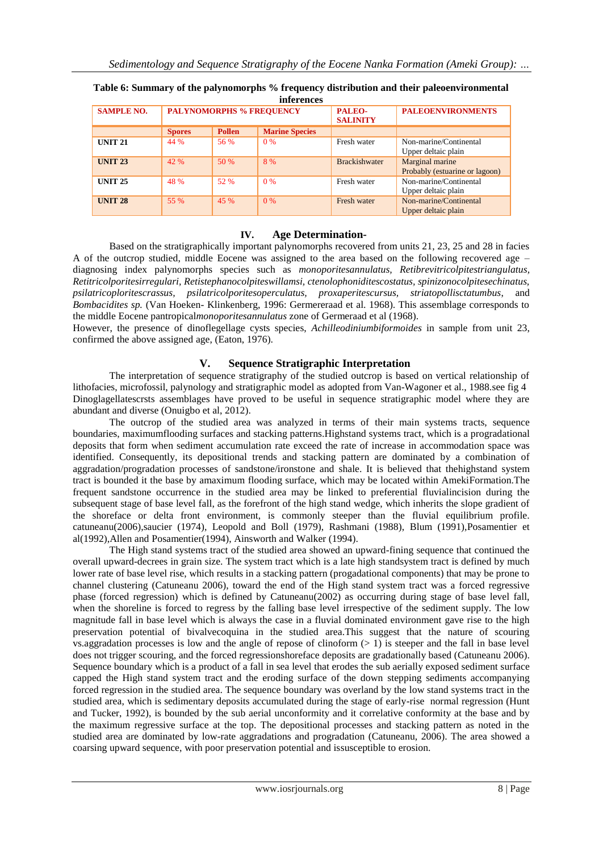| <i>inferences</i> |                                 |               |                       |                           |                                                   |  |  |  |
|-------------------|---------------------------------|---------------|-----------------------|---------------------------|---------------------------------------------------|--|--|--|
| <b>SAMPLE NO.</b> | <b>PALYNOMORPHS % FREQUENCY</b> |               |                       | PALEO-<br><b>SALINITY</b> | <b>PALEOENVIRONMENTS</b>                          |  |  |  |
|                   | <b>Spores</b>                   | <b>Pollen</b> | <b>Marine Species</b> |                           |                                                   |  |  |  |
| <b>UNIT 21</b>    | 44 %                            | 56 %          | $0\%$                 | Fresh water               | Non-marine/Continental<br>Upper deltaic plain     |  |  |  |
| <b>UNIT 23</b>    | 42 %                            | 50 %          | 8 %                   | <b>Brackishwater</b>      | Marginal marine<br>Probably (estuarine or lagoon) |  |  |  |
| <b>UNIT 25</b>    | 48 %                            | 52 %          | 0%                    | Fresh water               | Non-marine/Continental<br>Upper deltaic plain     |  |  |  |
| <b>UNIT 28</b>    | 55 %                            | 45 %          | 0%                    | Fresh water               | Non-marine/Continental<br>Upper deltaic plain     |  |  |  |

## **Table 6: Summary of the palynomorphs % frequency distribution and their paleoenvironmental**

## **IV. Age Determination-**

Based on the stratigraphically important palynomorphs recovered from units 21, 23, 25 and 28 in facies A of the outcrop studied, middle Eocene was assigned to the area based on the following recovered age – diagnosing index palynomorphs species such as *monoporitesannulatus, Retibrevitricolpitestriangulatus, Retitricolporitesirregulari, Retistephanocolpiteswillamsi, ctenolophoniditescostatus, spinizonocolpitesechinatus, psilatricoploritescrassus, psilatricolporitesoperculatus, proxaperitescursus, striatopollisctatumbus*, and *Bombacidites sp.* (Van Hoeken- Klinkenberg, 1996: Germereraad et al. 1968). This assemblage corresponds to the middle Eocene pantropical*monoporitesannulatus* zone of Germeraad et al (1968).

However, the presence of dinoflegellage cysts species, *Achilleodiniumbiformoides* in sample from unit 23, confirmed the above assigned age, (Eaton, 1976).

## **V. Sequence Stratigraphic Interpretation**

The interpretation of sequence stratigraphy of the studied outcrop is based on vertical relationship of lithofacies, microfossil, palynology and stratigraphic model as adopted from Van-Wagoner et al., 1988.see fig 4 Dinoglagellatescrsts assemblages have proved to be useful in sequence stratigraphic model where they are abundant and diverse (Onuigbo et al, 2012).

The outcrop of the studied area was analyzed in terms of their main systems tracts, sequence boundaries, maximumflooding surfaces and stacking patterns.Highstand systems tract, which is a progradational deposits that form when sediment accumulation rate exceed the rate of increase in accommodation space was identified. Consequently, its depositional trends and stacking pattern are dominated by a combination of aggradation/progradation processes of sandstone/ironstone and shale. It is believed that thehighstand system tract is bounded it the base by amaximum flooding surface, which may be located within AmekiFormation.The frequent sandstone occurrence in the studied area may be linked to preferential fluvialincision during the subsequent stage of base level fall, as the forefront of the high stand wedge, which inherits the slope gradient of the shoreface or delta front environment, is commonly steeper than the fluvial equilibrium profile. catuneanu(2006),saucier (1974), Leopold and Boll (1979), Rashmani (1988), Blum (1991),Posamentier et al(1992),Allen and Posamentier(1994), Ainsworth and Walker (1994).

The High stand systems tract of the studied area showed an upward-fining sequence that continued the overall upward-decrees in grain size. The system tract which is a late high standsystem tract is defined by much lower rate of base level rise, which results in a stacking pattern (progadational components) that may be prone to channel clustering (Catuneanu 2006), toward the end of the High stand system tract was a forced regressive phase (forced regression) which is defined by Catuneanu(2002) as occurring during stage of base level fall, when the shoreline is forced to regress by the falling base level irrespective of the sediment supply. The low magnitude fall in base level which is always the case in a fluvial dominated environment gave rise to the high preservation potential of bivalvecoquina in the studied area.This suggest that the nature of scouring vs.aggradation processes is low and the angle of repose of clinoform  $(> 1)$  is steeper and the fall in base level does not trigger scouring, and the forced regressionshoreface deposits are gradationally based (Catuneanu 2006). Sequence boundary which is a product of a fall in sea level that erodes the sub aerially exposed sediment surface capped the High stand system tract and the eroding surface of the down stepping sediments accompanying forced regression in the studied area. The sequence boundary was overland by the low stand systems tract in the studied area, which is sedimentary deposits accumulated during the stage of early-rise normal regression (Hunt and Tucker, 1992), is bounded by the sub aerial unconformity and it correlative conformity at the base and by the maximum regressive surface at the top. The depositional processes and stacking pattern as noted in the studied area are dominated by low-rate aggradations and progradation (Catuneanu, 2006). The area showed a coarsing upward sequence, with poor preservation potential and issusceptible to erosion.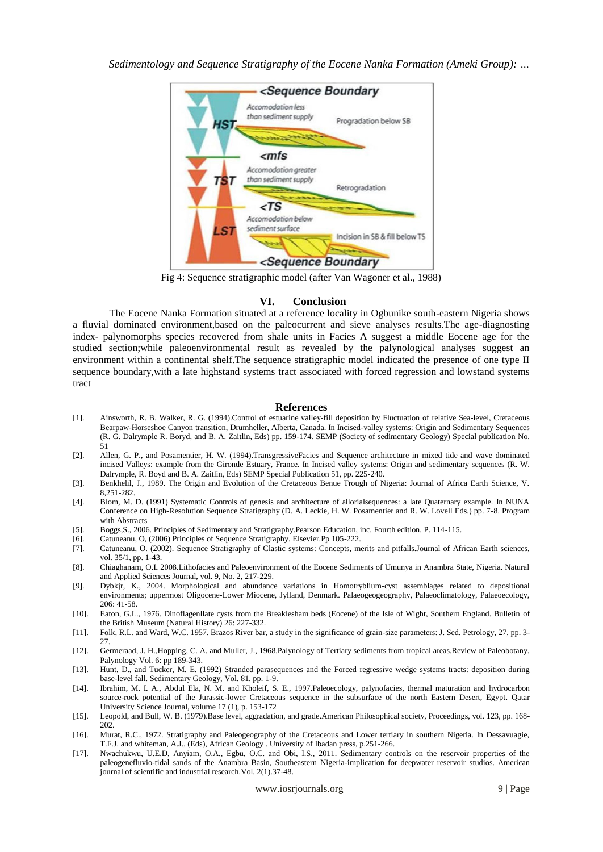

Fig 4: Sequence stratigraphic model (after Van Wagoner et al., 1988)

#### **VI. Conclusion**

The Eocene Nanka Formation situated at a reference locality in Ogbunike south-eastern Nigeria shows a fluvial dominated environment,based on the paleocurrent and sieve analyses results.The age-diagnosting index- palynomorphs species recovered from shale units in Facies A suggest a middle Eocene age for the studied section;while paleoenvironmental result as revealed by the palynological analyses suggest an environment within a continental shelf.The sequence stratigraphic model indicated the presence of one type II sequence boundary,with a late highstand systems tract associated with forced regression and lowstand systems tract

#### **References**

- [1]. Ainsworth, R. B. Walker, R. G. (1994).Control of estuarine valley-fill deposition by Fluctuation of relative Sea-level, Cretaceous Bearpaw-Horseshoe Canyon transition, Drumheller, Alberta, Canada. In Incised-valley systems: Origin and Sedimentary Sequences (R. G. Dalrymple R. Boryd, and B. A. Zaitlin, Eds) pp. 159-174. SEMP (Society of sedimentary Geology) Special publication No. 51
- [2]. Allen, G. P., and Posamentier, H. W. (1994).TransgressiveFacies and Sequence architecture in mixed tide and wave dominated incised Valleys: example from the Gironde Estuary, France. In Incised valley systems: Origin and sedimentary sequences (R. W. Dalrymple, R. Boyd and B. A. Zaitlin, Eds) SEMP Special Publication 51, pp. 225-240.
- [3]. Benkhelil, J., 1989. The Origin and Evolution of the Cretaceous Benue Trough of Nigeria: Journal of Africa Earth Science, V. 8,251-282.
- [4]. Blom, M. D. (1991) Systematic Controls of genesis and architecture of allorialsequences: a late Quaternary example. In NUNA Conference on High-Resolution Sequence Stratigraphy (D. A. Leckie, H. W. Posamentier and R. W. Lovell Eds.) pp. 7-8. Program with Abstracts
- [5]. Boggs,S., 2006. Principles of Sedimentary and Stratigraphy.Pearson Education, inc. Fourth edition. P. 114-115.
- [6]. Catuneanu, O, (2006) Principles of Sequence Stratigraphy. Elsevier.Pp 105-222.
- [7]. Catuneanu, O. (2002). Sequence Stratigraphy of Clastic systems: Concepts, merits and pitfalls.Journal of African Earth sciences, vol. 35/1, pp. 1-43.
- [8]. Chiaghanam, O.I**.** 2008.Lithofacies and Paleoenvironment of the Eocene Sediments of Umunya in Anambra State, Nigeria. Natural and Applied Sciences Journal, vol. 9, No. 2, 217-229.
- [9]. Dybkjr, K., 2004. Morphological and abundance variations in Homotryblium-cyst assemblages related to depositional environments; uppermost Oligocene-Lower Miocene, Jylland, Denmark. Palaeogeogeography, Palaeoclimatology, Palaeoecology, 206: 41-58.
- [10]. Eaton, G.L., 1976. Dinoflagenllate cysts from the Breaklesham beds (Eocene) of the Isle of Wight, Southern England. Bulletin of the British Museum (Natural History) 26: 227-332.
- [11]. Folk, R.L. and Ward, W.C. 1957. Brazos River bar, a study in the significance of grain-size parameters: J. Sed. Petrology, 27, pp. 3- 27.
- [12]. Germeraad, J. H.,Hopping, C. A. and Muller, J., 1968.Palynology of Tertiary sediments from tropical areas.Review of Paleobotany. Palynology Vol. 6: pp 189-343.
- [13]. Hunt, D., and Tucker, M. E. (1992) Stranded parasequences and the Forced regressive wedge systems tracts: deposition during base-level fall. Sedimentary Geology, Vol. 81, pp. 1-9.
- [14]. Ibrahim, M. I. A., Abdul Ela, N. M. and Kholeif, S. E., 1997.Paleoecology, palynofacies, thermal maturation and hydrocarbon source-rock potential of the Jurassic-lower Cretaceous sequence in the subsurface of the north Eastern Desert, Egypt. Qatar University Science Journal, volume 17 (1), p. 153-172
- [15]. Leopold, and Bull, W. B. (1979).Base level, aggradation, and grade.American Philosophical society, Proceedings, vol. 123, pp. 168- 202.
- [16]. Murat, R.C., 1972. Stratigraphy and Paleogeography of the Cretaceous and Lower tertiary in southern Nigeria. In Dessavuagie, T.F.J. and whiteman, A.J., (Eds), African Geology . University of Ibadan press, p.251-266.
- [17]. Nwachukwu, U.E.D, Anyiam, O.A., Egbu, O.C. and Obi, I.S., 2011. Sedimentary controls on the reservoir properties of the paleogenefluvio-tidal sands of the Anambra Basin, Southeastern Nigeria-implication for deepwater reservoir studios. American journal of scientific and industrial research.Vol. 2(1).37-48.